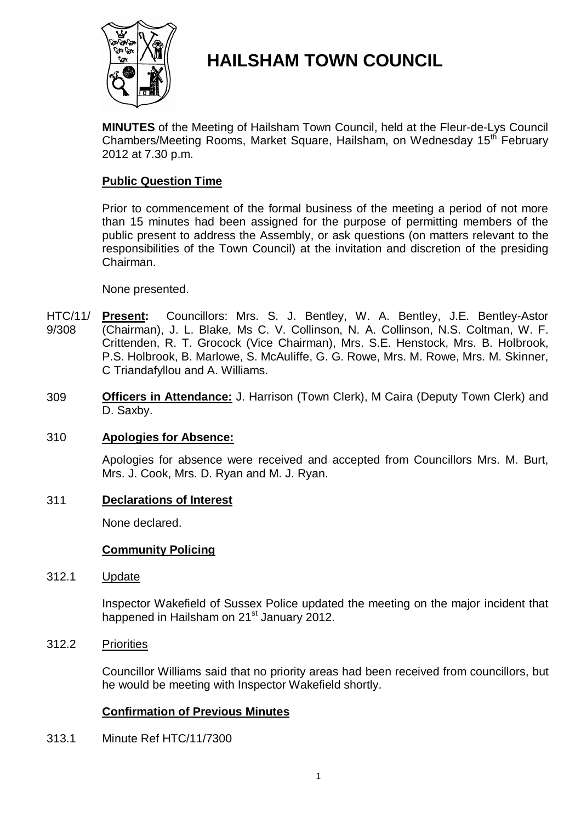

# **HAILSHAM TOWN COUNCIL**

**MINUTES** of the Meeting of Hailsham Town Council, held at the Fleur-de-Lys Council Chambers/Meeting Rooms, Market Square, Hailsham, on Wednesday 15<sup>th</sup> February 2012 at 7.30 p.m.

# **Public Question Time**

Prior to commencement of the formal business of the meeting a period of not more than 15 minutes had been assigned for the purpose of permitting members of the public present to address the Assembly, or ask questions (on matters relevant to the responsibilities of the Town Council) at the invitation and discretion of the presiding Chairman.

### None presented.

- HTC/11/ 9/308 **Present:** Councillors: Mrs. S. J. Bentley, W. A. Bentley, J.E. Bentley-Astor (Chairman), J. L. Blake, Ms C. V. Collinson, N. A. Collinson, N.S. Coltman, W. F. Crittenden, R. T. Grocock (Vice Chairman), Mrs. S.E. Henstock, Mrs. B. Holbrook, P.S. Holbrook, B. Marlowe, S. McAuliffe, G. G. Rowe, Mrs. M. Rowe, Mrs. M. Skinner, C Triandafyllou and A. Williams.
- 309 **Officers in Attendance:** J. Harrison (Town Clerk), M Caira (Deputy Town Clerk) and D. Saxby.

### 310 **Apologies for Absence:**

Apologies for absence were received and accepted from Councillors Mrs. M. Burt, Mrs. J. Cook, Mrs. D. Ryan and M. J. Ryan.

### 311 **Declarations of Interest**

None declared.

#### **Community Policing**

312.1 Update

> Inspector Wakefield of Sussex Police updated the meeting on the major incident that happened in Hailsham on 21<sup>st</sup> January 2012.

312.2 **Priorities** 

> Councillor Williams said that no priority areas had been received from councillors, but he would be meeting with Inspector Wakefield shortly.

### **Confirmation of Previous Minutes**

313.1 Minute Ref HTC/11/7300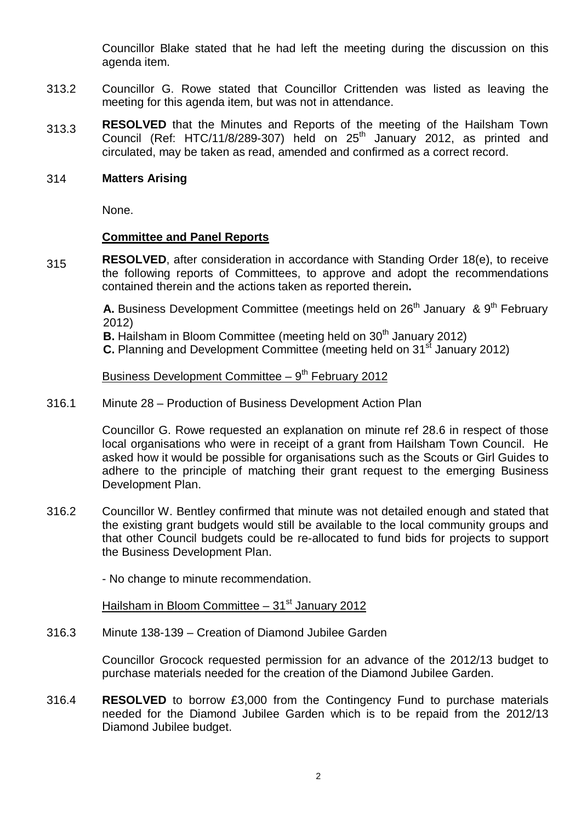Councillor Blake stated that he had left the meeting during the discussion on this agenda item.

- 313.2 Councillor G. Rowe stated that Councillor Crittenden was listed as leaving the meeting for this agenda item, but was not in attendance.
- 313.3 **RESOLVED** that the Minutes and Reports of the meeting of the Hailsham Town Council (Ref: HTC/11/8/289-307) held on  $25<sup>th</sup>$  January 2012, as printed and circulated, may be taken as read, amended and confirmed as a correct record.

#### 314 **Matters Arising**

None.

#### **Committee and Panel Reports**

315 **RESOLVED**, after consideration in accordance with Standing Order 18(e), to receive the following reports of Committees, to approve and adopt the recommendations contained therein and the actions taken as reported therein**.**

> **A.** Business Development Committee (meetings held on 26<sup>th</sup> January & 9<sup>th</sup> February 2012)

**B.** Hailsham in Bloom Committee (meeting held on 30<sup>th</sup> January 2012)

**C.** Planning and Development Committee (meeting held on 31<sup>st</sup> January 2012)

Business Development Committee  $-9<sup>th</sup>$  February 2012

316.1 Minute 28 – Production of Business Development Action Plan

> Councillor G. Rowe requested an explanation on minute ref 28.6 in respect of those local organisations who were in receipt of a grant from Hailsham Town Council. He asked how it would be possible for organisations such as the Scouts or Girl Guides to adhere to the principle of matching their grant request to the emerging Business Development Plan.

316.2 Councillor W. Bentley confirmed that minute was not detailed enough and stated that the existing grant budgets would still be available to the local community groups and that other Council budgets could be re-allocated to fund bids for projects to support the Business Development Plan.

- No change to minute recommendation.

Hailsham in Bloom Committee  $-31<sup>st</sup>$  January 2012

316.3 Minute 138-139 – Creation of Diamond Jubilee Garden

> Councillor Grocock requested permission for an advance of the 2012/13 budget to purchase materials needed for the creation of the Diamond Jubilee Garden.

316.4 **RESOLVED** to borrow £3,000 from the Contingency Fund to purchase materials needed for the Diamond Jubilee Garden which is to be repaid from the 2012/13 Diamond Jubilee budget.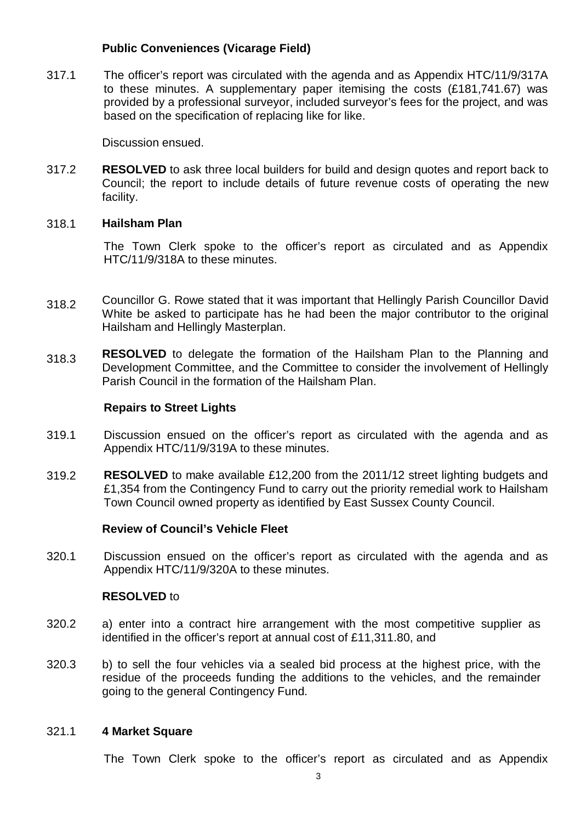# **Public Conveniences (Vicarage Field)**

317.1 The officer's report was circulated with the agenda and as Appendix HTC/11/9/317A to these minutes. A supplementary paper itemising the costs (£181,741.67) was provided by a professional surveyor, included surveyor's fees for the project, and was based on the specification of replacing like for like.

Discussion ensued.

317.2 **RESOLVED** to ask three local builders for build and design quotes and report back to Council; the report to include details of future revenue costs of operating the new facility.

#### 318.1 **Hailsham Plan**

The Town Clerk spoke to the officer's report as circulated and as Appendix HTC/11/9/318A to these minutes.

- 318.2 Councillor G. Rowe stated that it was important that Hellingly Parish Councillor David White be asked to participate has he had been the major contributor to the original Hailsham and Hellingly Masterplan.
- 318.3 **RESOLVED** to delegate the formation of the Hailsham Plan to the Planning and Development Committee, and the Committee to consider the involvement of Hellingly Parish Council in the formation of the Hailsham Plan.

#### **Repairs to Street Lights**

- 319.1 Discussion ensued on the officer's report as circulated with the agenda and as Appendix HTC/11/9/319A to these minutes.
- 319.2 **RESOLVED** to make available £12,200 from the 2011/12 street lighting budgets and £1,354 from the Contingency Fund to carry out the priority remedial work to Hailsham Town Council owned property as identified by East Sussex County Council.

### **Review of Council's Vehicle Fleet**

320.1 Discussion ensued on the officer's report as circulated with the agenda and as Appendix HTC/11/9/320A to these minutes.

### **RESOLVED** to

- 320.2 a) enter into a contract hire arrangement with the most competitive supplier as identified in the officer's report at annual cost of £11,311.80, and
- 320.3 b) to sell the four vehicles via a sealed bid process at the highest price, with the residue of the proceeds funding the additions to the vehicles, and the remainder going to the general Contingency Fund.

#### 321.1 **4 Market Square**

The Town Clerk spoke to the officer's report as circulated and as Appendix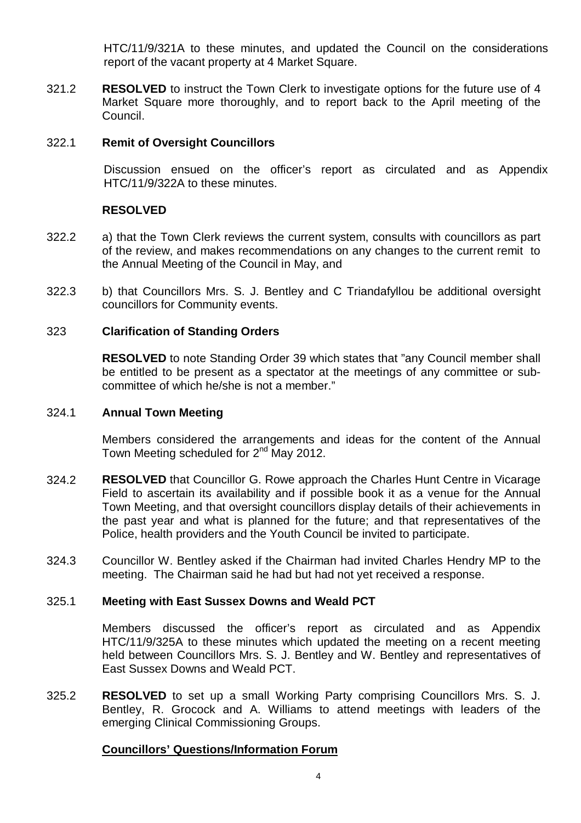HTC/11/9/321A to these minutes, and updated the Council on the considerations report of the vacant property at 4 Market Square.

321.2 **RESOLVED** to instruct the Town Clerk to investigate options for the future use of 4 Market Square more thoroughly, and to report back to the April meeting of the Council.

#### 322.1 **Remit of Oversight Councillors**

Discussion ensued on the officer's report as circulated and as Appendix HTC/11/9/322A to these minutes.

### **RESOLVED**

- 322.2 a) that the Town Clerk reviews the current system, consults with councillors as part of the review, and makes recommendations on any changes to the current remit to the Annual Meeting of the Council in May, and
- 322.3 b) that Councillors Mrs. S. J. Bentley and C Triandafyllou be additional oversight councillors for Community events.

## 323 **Clarification of Standing Orders**

**RESOLVED** to note Standing Order 39 which states that "any Council member shall be entitled to be present as a spectator at the meetings of any committee or subcommittee of which he/she is not a member."

#### 324.1 **Annual Town Meeting**

Members considered the arrangements and ideas for the content of the Annual Town Meeting scheduled for 2<sup>nd</sup> May 2012.

- 324.2 **RESOLVED** that Councillor G. Rowe approach the Charles Hunt Centre in Vicarage Field to ascertain its availability and if possible book it as a venue for the Annual Town Meeting, and that oversight councillors display details of their achievements in the past year and what is planned for the future; and that representatives of the Police, health providers and the Youth Council be invited to participate.
- 324.3 Councillor W. Bentley asked if the Chairman had invited Charles Hendry MP to the meeting. The Chairman said he had but had not yet received a response.

#### 325.1 **Meeting with East Sussex Downs and Weald PCT**

Members discussed the officer's report as circulated and as Appendix HTC/11/9/325A to these minutes which updated the meeting on a recent meeting held between Councillors Mrs. S. J. Bentley and W. Bentley and representatives of East Sussex Downs and Weald PCT.

325.2 **RESOLVED** to set up a small Working Party comprising Councillors Mrs. S. J. Bentley, R. Grocock and A. Williams to attend meetings with leaders of the emerging Clinical Commissioning Groups.

# **Councillors' Questions/Information Forum**